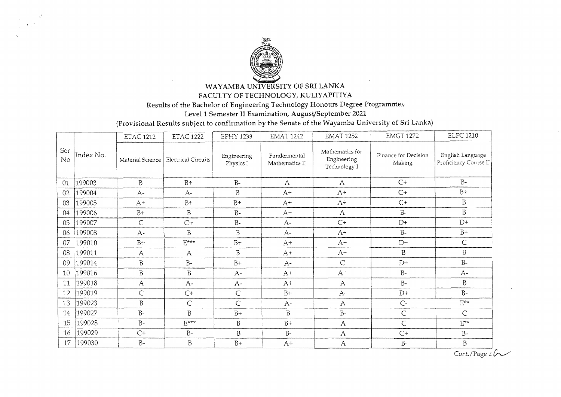

WAYAMBA UNIVERSITY OF SRI LANKA FACULTY OF TECHNOLOGY, KULIYAPITIYA

Results of the Bachelor of Engineering Technology Honours Degree Programmes

Level 1 Semester II Examination, August/September 2021

(Provisional Results subject to confirmation by the Senate of the Wayamba University of Sri Lanka)

|           |           | <b>ETAC 1212</b> | <b>ETAC 1222</b>               | <b>EPHY 1233</b>         | <b>EMAT 1242</b>               | <b>EMAT 1252</b>                               | <b>EMGT 1272</b>               | <b>ELPC 1210</b>                          |
|-----------|-----------|------------------|--------------------------------|--------------------------|--------------------------------|------------------------------------------------|--------------------------------|-------------------------------------------|
| Ser<br>No | Index No. | Material Science | <b>Electrical Circuits</b>     | Engineering<br>Physics I | Fundermental<br>Mathematics II | Mathematics for<br>Engineering<br>Technology I | Finance for Decision<br>Making | English Language<br>Proficiency Course II |
| 01        | 199003    | B                | $B+$                           | $B-$                     | $\mathsf{A}$                   | $\mathbf{A}$                                   | $C+$                           | $B-$                                      |
| 02        | 199004    | $A-$             | $A-$                           | $\mathbf B$              | $A^+$                          | $A+$                                           | $C+$                           | $B +$                                     |
| 03        | 199005    | $A+$             | $B+$                           | $B+$                     | $A+$                           | $A+$                                           | $C+$                           | $\, {\bf B}$                              |
| 04        | 199006    | $B+$             | B                              | $B-$                     | $A^+$                          | $\mathsf{A}$                                   | $B -$                          | $\, {\bf B}$                              |
| 05        | 199007    | $\mathsf{C}$     | $C+$                           | $B -$                    | $A-$                           | $C+$                                           | $D+$                           | $D+$                                      |
| 06        | 199008    | $A-$             | B                              | $\mathbf{B}$             | $A-$                           | $A^+$                                          | $B -$                          | $B+$                                      |
| 07        | 199010    | $B+$             | $\mathbf{E}^{\star\star\star}$ | $B+$                     | $A+$                           | $A+$                                           | $D+$                           | $\subset$                                 |
| 08        | 199011    | $\mathbf{A}$     | A                              | $\overline{B}$           | $A^+$                          | $A+$                                           | $\, {\bf B}$                   | $\rm B$                                   |
| 09        | 199014    | $\rm B$          | $B-$                           | $B+$                     | $A-$                           | Ċ                                              | $D+$                           | $B-$                                      |
| 10        | 199016    | $\, {\bf B}$     | $\overline{B}$                 | $A-$                     | $A^+$                          | $A+$                                           | $B -$                          | $A-$                                      |
| 11        | 199018    | A                | $A-$                           | $A-$                     | $A+$                           | $\mathbf{A}$                                   | $B -$                          | B                                         |
| 12        | 199019    | Ċ                | $C+$                           | $\mathsf{C}$             | $B+$                           | $A -$                                          | $D+$                           | $B -$                                     |
| 13        | 199023    | $\rm B$          | $\mathsf{C}$                   | Ċ                        | $A-$                           | A                                              | $C -$                          | $E^{**}$                                  |
| 14        | 199027    | $B-$             | $\mathbf{B}$                   | $B+$                     | $\mathbf B$                    | $B-$                                           | $\mathsf C$                    | $\subset$                                 |
| 15        | 199028    | $B-$             | $E^{\star\star\star}$          | $\overline{B}$           | $B+$                           | A                                              | $\mathsf{C}$                   | $E^{\star\star}$                          |
| 16        | 199029    | $C+$             | $B -$                          | $\rm B$                  | $B-$                           | $\mathbf{A}$                                   | $C+$                           | $B-$                                      |
| 17        | 199030    | $B-$             | $\overline{B}$                 | $B+$                     | $A^+$                          | $\mathbf{A}$                                   | $B-$                           | $\rm B$                                   |

Cont./Page  $26$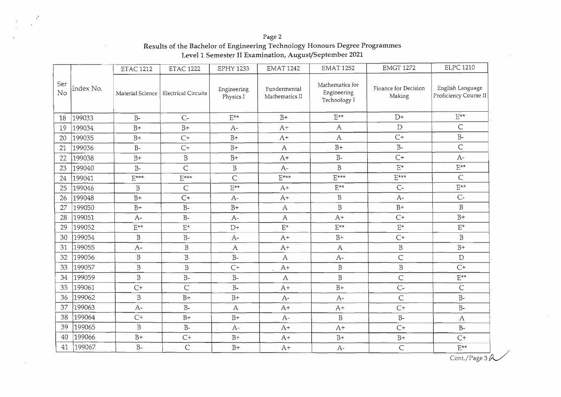| Ser<br>Mathematics for<br>Finance for Decision<br>English Language<br>Index No.<br>Fundermental<br>Engineering<br>Engineering<br>No<br>Material Science<br><b>Electrical Circuits</b><br>Proficiency Course II<br>Making<br>Physics I<br>Mathematics II<br>Technology I<br>$E^{**}$<br>$E^{\star\star}$<br>$D+$<br>$\mathrm{E}^{\star\star}$<br>$B+$<br>199033<br>$B -$<br>$C -$<br>18<br>$\subset$<br>D<br>$B+$<br>$\mathsf{A}$<br>199034<br>$B+$<br>$A+$<br>19<br>$A-$<br>$B -$<br>$C+$<br>$B+$<br>$\mathbf{A}$<br>199035<br>$C+$<br>$A+$<br>$B+$<br>20<br>$\overline{C}$<br>$B -$<br>$B+$<br>199036<br>$C+$<br>$B+$<br>$B -$<br>$\mathbf{A}$<br>21<br>$C+$<br>$B-$<br>$A -$<br>$\overline{B}$<br>$B+$<br>$A+$<br>199038<br>$B+$<br>22<br>$E^{**}$<br>$\overline{B}$<br>$\mathbf{E}^{\star}$<br>$B-$<br>Ċ<br>$\overline{B}$<br>199040<br>$A -$<br>23<br>$E***$<br>$E***$<br>$\overline{C}$<br>$\mathsf{C}$<br>$E***$<br>$E^{***}$<br>$E^{***}$<br>199041<br>24<br>$E^{\star\star}$<br>$E^{\star\star}$<br>$F^{**}$<br>$C -$<br>199046<br>B<br>$\mathsf{C}$<br>$A+$<br>25<br>$C -$<br>$\mathbf B$<br>$C+$<br>$A-$<br>199048<br>26<br>$B+$<br>$A -$<br>$A+$<br>$\overline{B}$<br>$\overline{B}$<br>$B+$<br>199050<br>$B+$<br>$B+$<br>$B -$<br>27<br>$\mathbf{A}$<br>$B+$<br>$C+$<br>199051<br>28<br>$B-$<br>$A+$<br>$\mathsf{A}$<br>$A-$<br>$A-$<br>$\mathbf{E}^\star$<br>199052<br>$\mathcal{E}^\star$<br>$\mathrm{E}^{\star\star}$<br>$\mathcal{E}^\star$<br>$\mathrm{E}^{\star\star}$<br>$\mathcal{E}^\star$<br>29<br>$D+$<br>$\overline{B}$<br>199054<br>$\, {\bf B}$<br>$B -$<br>$B+$<br>$C+$<br>30<br>$A^+$<br>$A-$<br>$\beta$<br>$B+$<br>199055<br>$\, {\bf B}$<br>$A -$<br>31<br>$\mathbf{A}$<br>$A+$<br>$\mathbf{A}$<br>$\overline{C}$<br>$\, {\bf B}$<br>$\, {\bf B}$<br>199056<br>$\rm B-$<br>$A-$<br>D<br>32<br>A<br>$\, {\bf B}$<br>B<br>$\, {\bf B}$<br>$C+$<br>199057<br>33<br>$\, {\bf B}$<br>$C+$<br>$A+$<br>$\, {\bf B}$<br>199059<br>$B-$<br>$B -$<br>$\overline{B}$<br>$\overline{C}$<br>$E^{**}$<br>34<br>$\overline{A}$<br>$C-$<br>199061<br>$\overline{C}$<br>$B-$<br>$\mathsf{C}$<br>35<br>$C+$<br>$B+$<br>$A+$<br>199062<br>$\mathbf B$<br>$\overline{C}$<br>$B+$<br>$B -$<br>36<br>$B+$<br>$A-$<br>$A-$<br>199063<br>$B -$<br>$C+$<br>$B -$<br>37<br>$A -$<br>$\mathsf{A}$<br>$A+$<br>$A+$<br>38<br>199064<br>$C+$<br>$B+$<br>$B+$<br>B<br>$B -$<br>$A-$<br>A<br>$\overline{B}$<br>199065<br>39<br>$B -$<br>$B-$<br>$A+$<br>$C+$<br>$A-$<br>$A+$<br>199066<br>$B+$<br>$B+$<br>40<br>$C+$<br>$B+$<br>$B+$<br>$A+$<br>$C+$<br>$B-$<br>$\overline{C}$<br>199067<br>$E^{**}$<br>$B+$<br>$\mathsf{C}$<br>41<br>$A+$<br>$A-$ |  | <b>ETAC 1212</b> | <b>ETAC 1222</b> | <b>EPHY 1233</b> | <b>EMAT 1242</b> | <b>EMAT 1252</b> | <b>EMGT 1272</b> | <b>ELPC 1210</b> |
|--------------------------------------------------------------------------------------------------------------------------------------------------------------------------------------------------------------------------------------------------------------------------------------------------------------------------------------------------------------------------------------------------------------------------------------------------------------------------------------------------------------------------------------------------------------------------------------------------------------------------------------------------------------------------------------------------------------------------------------------------------------------------------------------------------------------------------------------------------------------------------------------------------------------------------------------------------------------------------------------------------------------------------------------------------------------------------------------------------------------------------------------------------------------------------------------------------------------------------------------------------------------------------------------------------------------------------------------------------------------------------------------------------------------------------------------------------------------------------------------------------------------------------------------------------------------------------------------------------------------------------------------------------------------------------------------------------------------------------------------------------------------------------------------------------------------------------------------------------------------------------------------------------------------------------------------------------------------------------------------------------------------------------------------------------------------------------------------------------------------------------------------------------------------------------------------------------------------------------------------------------------------------------------------------------------------------------------------------------------------------------------------------------------------------------------------------------------------------------------------------------------------------------------------------------------------------------------------------------------------------------------------------|--|------------------|------------------|------------------|------------------|------------------|------------------|------------------|
|                                                                                                                                                                                                                                                                                                                                                                                                                                                                                                                                                                                                                                                                                                                                                                                                                                                                                                                                                                                                                                                                                                                                                                                                                                                                                                                                                                                                                                                                                                                                                                                                                                                                                                                                                                                                                                                                                                                                                                                                                                                                                                                                                                                                                                                                                                                                                                                                                                                                                                                                                                                                                                                  |  |                  |                  |                  |                  |                  |                  |                  |
|                                                                                                                                                                                                                                                                                                                                                                                                                                                                                                                                                                                                                                                                                                                                                                                                                                                                                                                                                                                                                                                                                                                                                                                                                                                                                                                                                                                                                                                                                                                                                                                                                                                                                                                                                                                                                                                                                                                                                                                                                                                                                                                                                                                                                                                                                                                                                                                                                                                                                                                                                                                                                                                  |  |                  |                  |                  |                  |                  |                  |                  |
|                                                                                                                                                                                                                                                                                                                                                                                                                                                                                                                                                                                                                                                                                                                                                                                                                                                                                                                                                                                                                                                                                                                                                                                                                                                                                                                                                                                                                                                                                                                                                                                                                                                                                                                                                                                                                                                                                                                                                                                                                                                                                                                                                                                                                                                                                                                                                                                                                                                                                                                                                                                                                                                  |  |                  |                  |                  |                  |                  |                  |                  |
|                                                                                                                                                                                                                                                                                                                                                                                                                                                                                                                                                                                                                                                                                                                                                                                                                                                                                                                                                                                                                                                                                                                                                                                                                                                                                                                                                                                                                                                                                                                                                                                                                                                                                                                                                                                                                                                                                                                                                                                                                                                                                                                                                                                                                                                                                                                                                                                                                                                                                                                                                                                                                                                  |  |                  |                  |                  |                  |                  |                  |                  |
|                                                                                                                                                                                                                                                                                                                                                                                                                                                                                                                                                                                                                                                                                                                                                                                                                                                                                                                                                                                                                                                                                                                                                                                                                                                                                                                                                                                                                                                                                                                                                                                                                                                                                                                                                                                                                                                                                                                                                                                                                                                                                                                                                                                                                                                                                                                                                                                                                                                                                                                                                                                                                                                  |  |                  |                  |                  |                  |                  |                  |                  |
|                                                                                                                                                                                                                                                                                                                                                                                                                                                                                                                                                                                                                                                                                                                                                                                                                                                                                                                                                                                                                                                                                                                                                                                                                                                                                                                                                                                                                                                                                                                                                                                                                                                                                                                                                                                                                                                                                                                                                                                                                                                                                                                                                                                                                                                                                                                                                                                                                                                                                                                                                                                                                                                  |  |                  |                  |                  |                  |                  |                  |                  |
|                                                                                                                                                                                                                                                                                                                                                                                                                                                                                                                                                                                                                                                                                                                                                                                                                                                                                                                                                                                                                                                                                                                                                                                                                                                                                                                                                                                                                                                                                                                                                                                                                                                                                                                                                                                                                                                                                                                                                                                                                                                                                                                                                                                                                                                                                                                                                                                                                                                                                                                                                                                                                                                  |  |                  |                  |                  |                  |                  |                  |                  |
|                                                                                                                                                                                                                                                                                                                                                                                                                                                                                                                                                                                                                                                                                                                                                                                                                                                                                                                                                                                                                                                                                                                                                                                                                                                                                                                                                                                                                                                                                                                                                                                                                                                                                                                                                                                                                                                                                                                                                                                                                                                                                                                                                                                                                                                                                                                                                                                                                                                                                                                                                                                                                                                  |  |                  |                  |                  |                  |                  |                  |                  |
|                                                                                                                                                                                                                                                                                                                                                                                                                                                                                                                                                                                                                                                                                                                                                                                                                                                                                                                                                                                                                                                                                                                                                                                                                                                                                                                                                                                                                                                                                                                                                                                                                                                                                                                                                                                                                                                                                                                                                                                                                                                                                                                                                                                                                                                                                                                                                                                                                                                                                                                                                                                                                                                  |  |                  |                  |                  |                  |                  |                  |                  |
|                                                                                                                                                                                                                                                                                                                                                                                                                                                                                                                                                                                                                                                                                                                                                                                                                                                                                                                                                                                                                                                                                                                                                                                                                                                                                                                                                                                                                                                                                                                                                                                                                                                                                                                                                                                                                                                                                                                                                                                                                                                                                                                                                                                                                                                                                                                                                                                                                                                                                                                                                                                                                                                  |  |                  |                  |                  |                  |                  |                  |                  |
|                                                                                                                                                                                                                                                                                                                                                                                                                                                                                                                                                                                                                                                                                                                                                                                                                                                                                                                                                                                                                                                                                                                                                                                                                                                                                                                                                                                                                                                                                                                                                                                                                                                                                                                                                                                                                                                                                                                                                                                                                                                                                                                                                                                                                                                                                                                                                                                                                                                                                                                                                                                                                                                  |  |                  |                  |                  |                  |                  |                  |                  |
|                                                                                                                                                                                                                                                                                                                                                                                                                                                                                                                                                                                                                                                                                                                                                                                                                                                                                                                                                                                                                                                                                                                                                                                                                                                                                                                                                                                                                                                                                                                                                                                                                                                                                                                                                                                                                                                                                                                                                                                                                                                                                                                                                                                                                                                                                                                                                                                                                                                                                                                                                                                                                                                  |  |                  |                  |                  |                  |                  |                  |                  |
|                                                                                                                                                                                                                                                                                                                                                                                                                                                                                                                                                                                                                                                                                                                                                                                                                                                                                                                                                                                                                                                                                                                                                                                                                                                                                                                                                                                                                                                                                                                                                                                                                                                                                                                                                                                                                                                                                                                                                                                                                                                                                                                                                                                                                                                                                                                                                                                                                                                                                                                                                                                                                                                  |  |                  |                  |                  |                  |                  |                  |                  |
|                                                                                                                                                                                                                                                                                                                                                                                                                                                                                                                                                                                                                                                                                                                                                                                                                                                                                                                                                                                                                                                                                                                                                                                                                                                                                                                                                                                                                                                                                                                                                                                                                                                                                                                                                                                                                                                                                                                                                                                                                                                                                                                                                                                                                                                                                                                                                                                                                                                                                                                                                                                                                                                  |  |                  |                  |                  |                  |                  |                  |                  |
|                                                                                                                                                                                                                                                                                                                                                                                                                                                                                                                                                                                                                                                                                                                                                                                                                                                                                                                                                                                                                                                                                                                                                                                                                                                                                                                                                                                                                                                                                                                                                                                                                                                                                                                                                                                                                                                                                                                                                                                                                                                                                                                                                                                                                                                                                                                                                                                                                                                                                                                                                                                                                                                  |  |                  |                  |                  |                  |                  |                  |                  |
|                                                                                                                                                                                                                                                                                                                                                                                                                                                                                                                                                                                                                                                                                                                                                                                                                                                                                                                                                                                                                                                                                                                                                                                                                                                                                                                                                                                                                                                                                                                                                                                                                                                                                                                                                                                                                                                                                                                                                                                                                                                                                                                                                                                                                                                                                                                                                                                                                                                                                                                                                                                                                                                  |  |                  |                  |                  |                  |                  |                  |                  |
|                                                                                                                                                                                                                                                                                                                                                                                                                                                                                                                                                                                                                                                                                                                                                                                                                                                                                                                                                                                                                                                                                                                                                                                                                                                                                                                                                                                                                                                                                                                                                                                                                                                                                                                                                                                                                                                                                                                                                                                                                                                                                                                                                                                                                                                                                                                                                                                                                                                                                                                                                                                                                                                  |  |                  |                  |                  |                  |                  |                  |                  |
|                                                                                                                                                                                                                                                                                                                                                                                                                                                                                                                                                                                                                                                                                                                                                                                                                                                                                                                                                                                                                                                                                                                                                                                                                                                                                                                                                                                                                                                                                                                                                                                                                                                                                                                                                                                                                                                                                                                                                                                                                                                                                                                                                                                                                                                                                                                                                                                                                                                                                                                                                                                                                                                  |  |                  |                  |                  |                  |                  |                  |                  |
|                                                                                                                                                                                                                                                                                                                                                                                                                                                                                                                                                                                                                                                                                                                                                                                                                                                                                                                                                                                                                                                                                                                                                                                                                                                                                                                                                                                                                                                                                                                                                                                                                                                                                                                                                                                                                                                                                                                                                                                                                                                                                                                                                                                                                                                                                                                                                                                                                                                                                                                                                                                                                                                  |  |                  |                  |                  |                  |                  |                  |                  |
|                                                                                                                                                                                                                                                                                                                                                                                                                                                                                                                                                                                                                                                                                                                                                                                                                                                                                                                                                                                                                                                                                                                                                                                                                                                                                                                                                                                                                                                                                                                                                                                                                                                                                                                                                                                                                                                                                                                                                                                                                                                                                                                                                                                                                                                                                                                                                                                                                                                                                                                                                                                                                                                  |  |                  |                  |                  |                  |                  |                  |                  |
|                                                                                                                                                                                                                                                                                                                                                                                                                                                                                                                                                                                                                                                                                                                                                                                                                                                                                                                                                                                                                                                                                                                                                                                                                                                                                                                                                                                                                                                                                                                                                                                                                                                                                                                                                                                                                                                                                                                                                                                                                                                                                                                                                                                                                                                                                                                                                                                                                                                                                                                                                                                                                                                  |  |                  |                  |                  |                  |                  |                  |                  |
|                                                                                                                                                                                                                                                                                                                                                                                                                                                                                                                                                                                                                                                                                                                                                                                                                                                                                                                                                                                                                                                                                                                                                                                                                                                                                                                                                                                                                                                                                                                                                                                                                                                                                                                                                                                                                                                                                                                                                                                                                                                                                                                                                                                                                                                                                                                                                                                                                                                                                                                                                                                                                                                  |  |                  |                  |                  |                  |                  |                  |                  |
|                                                                                                                                                                                                                                                                                                                                                                                                                                                                                                                                                                                                                                                                                                                                                                                                                                                                                                                                                                                                                                                                                                                                                                                                                                                                                                                                                                                                                                                                                                                                                                                                                                                                                                                                                                                                                                                                                                                                                                                                                                                                                                                                                                                                                                                                                                                                                                                                                                                                                                                                                                                                                                                  |  |                  |                  |                  |                  |                  |                  |                  |
|                                                                                                                                                                                                                                                                                                                                                                                                                                                                                                                                                                                                                                                                                                                                                                                                                                                                                                                                                                                                                                                                                                                                                                                                                                                                                                                                                                                                                                                                                                                                                                                                                                                                                                                                                                                                                                                                                                                                                                                                                                                                                                                                                                                                                                                                                                                                                                                                                                                                                                                                                                                                                                                  |  |                  |                  |                  |                  |                  |                  |                  |
|                                                                                                                                                                                                                                                                                                                                                                                                                                                                                                                                                                                                                                                                                                                                                                                                                                                                                                                                                                                                                                                                                                                                                                                                                                                                                                                                                                                                                                                                                                                                                                                                                                                                                                                                                                                                                                                                                                                                                                                                                                                                                                                                                                                                                                                                                                                                                                                                                                                                                                                                                                                                                                                  |  |                  |                  |                  |                  |                  |                  |                  |

Page 2 Results of the Bachelor of Engineering Technology Honours Degree Programmes Levell Semester II Examination, Augusl/September 2021

"

 $\overline{\text{Cont.}/\text{Page 3}\,\mathcal{A}}$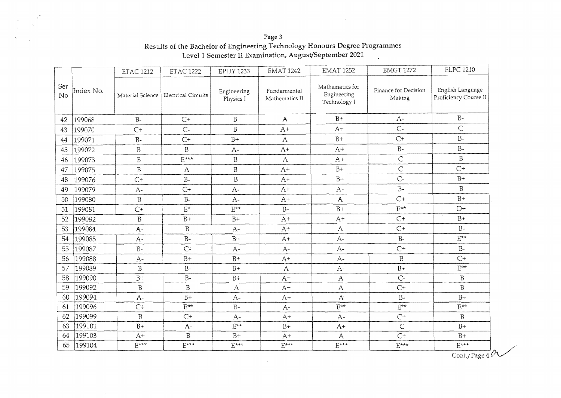Page 3 Results of the Bachelor of Engineering Technology Honours Degree Programmes<br>Level 1 Semester II Examination, August/September 2021

|           |           | <b>ETAC 1212</b>      | <b>ETAC 1222</b>                       | <b>EPHY 1233</b>         | <b>EMAT 1242</b>               | <b>EMAT 1252</b>                               | <b>EMGT 1272</b>               | <b>ELPC 1210</b>                          |
|-----------|-----------|-----------------------|----------------------------------------|--------------------------|--------------------------------|------------------------------------------------|--------------------------------|-------------------------------------------|
| Ser<br>No | Index No. |                       | Material Science   Electrical Circuits | Engineering<br>Physics I | Fundermental<br>Mathematics II | Mathematics for<br>Engineering<br>Technology I | Finance for Decision<br>Making | English Language<br>Proficiency Course II |
| 42        | 199068    | $B-$                  | $C+$                                   | B                        | $\mathbf{A}$                   | $B+$                                           | $A-$                           | $B-$                                      |
| 43        | 199070    | $C+$                  | $C-$                                   | $\, {\bf B}$             | $A+$                           | $A+$                                           | $C -$                          | C                                         |
| 44        | 199071    | $B -$                 | $C+$                                   | $B+$                     | $\mathbf{A}$                   | $B+$                                           | $C+$                           | $B-$                                      |
| 45        | 199072    | $\mathbf B$           | $\overline{B}$                         | $A-$                     | $A+$                           | $A+$                                           | $B-$                           | $B-$                                      |
| 46        | 199073    | $\mathbf B$           | $E***$                                 | $\rm B$                  | $\mathbf{A}$                   | $A+$                                           | $\mathsf{C}$                   | $\, {\bf B}$                              |
| 47        | 199075    | $\, {\bf B}$          | $\mathbf{A}$                           | $\, {\bf B}$             | $A^+$                          | $B+$                                           | $\mathsf C$                    | $C+$                                      |
| 48        | 199076    | $C+$                  | $B-$                                   | $\overline{B}$           | $A+$                           | $B+$                                           | $C -$                          | $B+$                                      |
| 49        | 199079    | $A-$                  | $C+$                                   | $A-$                     | $A^+$                          | $A-$                                           | $B -$                          | B                                         |
| 50        | 199080    | $\, {\bf B}$          | $B-$                                   | $A-$                     | $A^+$                          | $\mathsf{A}$                                   | $C+$                           | $B+$                                      |
| 51        | 199081    | $C+$                  | $\mathbf{E}^\star$                     | $E^{**}$                 | $\rm B-$                       | $B+$                                           | $E^{**}$                       | $\mathbf{D}+$                             |
| 52        | 199082    | $\overline{B}$        | $B+$                                   | $B+$                     | $A+$                           | $A+$                                           | $C+$                           | $B+$                                      |
| 53        | 199084    | $A -$                 | $\, {\bf B}$                           | $A-$                     | $A+$                           | A                                              | $C+$                           | $B-$                                      |
| 54        | 199085    | $A-$                  | $B-$                                   | $B+$                     | $A+$                           | $A-$                                           | $B-$                           | $E^{\star\star}$                          |
| 55        | 199087    | $B-$                  | C <sub>2</sub>                         | $A-$                     | $A-$                           | $A-$                                           | $C+$                           | $B-$                                      |
| 56        | 199088    | $A-$                  | $B+$                                   | $B+$                     | $A+$                           | $A-$                                           | $\beta$                        | $C+$                                      |
| 57        | 199089    | $\overline{B}$        | $B -$                                  | $B+$                     | $\mathsf{A}$                   | $A-$                                           | $B+$                           | $\mathrm{E}^{\star\star}$                 |
| 58        | 199090    | $B+$                  | $B -$                                  | $B+$                     | $A+$                           | A                                              | $C -$                          | $\, {\bf B}$                              |
| 59        | 199092    | $\, {\bf B}$          | $\, {\bf B}$                           | $\boldsymbol{A}$         | $A+$                           | $\mathbf{A}$                                   | $C+$                           | $\, {\bf B}$                              |
| 60        | 199094    | $A-$                  | $B+$                                   | $A-$                     | $A+$                           | $\mathbf{A}$                                   | $\rm B-$                       | $B+$                                      |
| 61        | 199096    | $C+$                  | $E^{\star\star}$                       | $B -$                    | $A-$                           | $\mathrm{E}^{\star\star}$                      | $E^{**}$                       | $E^{\star\star}$                          |
| 62        | 199099    | $\, {\bf B}$          | $C+$                                   | $A-$                     | $A+$                           | $A-$                                           | $C+$                           | B                                         |
| 63        | 199101    | $B+$                  | $A-$                                   | $E^{**}$                 | $B+$                           | $A+$                                           | $\subset$                      | $B+$                                      |
| 64        | 199103    | $A+$                  | $\, {\bf B}$                           | $B+$                     | $A+$                           | A                                              | $C+$                           | $B+$                                      |
| 65        | 199104    | $E^{\star\star\star}$ | $E***$                                 | $E$ ***                  | $E***$                         | $E^{\star\star\star}$                          | $E***$                         | $E^{***}$<br>Cont./Page $4^{\circ}$       |

 $\sim$  10  $\pm$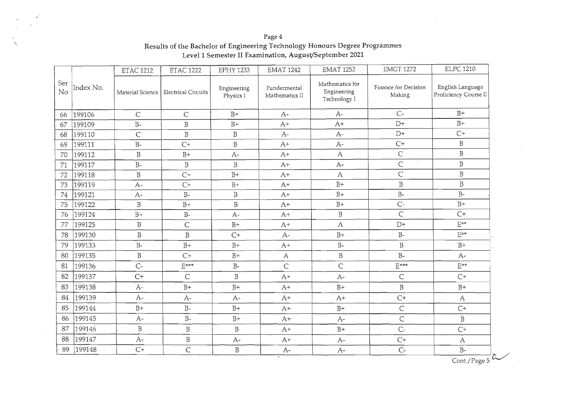Page 4 '\ Results of the Bachelor of Engineering Technology Honours Degree Programmes Levell Semester II Examination, August/September 2021

|           |           | <b>ETAC 1212</b> | <b>ETAC 1222</b>           | <b>EPHY 1233</b>         | <b>EMAT 1242</b>               | <b>EMAT 1252</b>                               | <b>EMGT 1272</b>                     | <b>ELPC 1210</b>                          |
|-----------|-----------|------------------|----------------------------|--------------------------|--------------------------------|------------------------------------------------|--------------------------------------|-------------------------------------------|
| Ser<br>No | Index No. | Material Science | <b>Electrical Circuits</b> | Engineering<br>Physics I | Fundermental<br>Mathematics II | Mathematics for<br>Engineering<br>Technology I | Finance for Decision<br>Making       | English Language<br>Proficiency Course II |
| 66        | 199106    | $\mathsf C$      | $\mathsf{C}$               | $B+$                     | $A-$                           | $A-$                                           | $C -$                                | $B+$                                      |
| 67        | 199109    | $B-$             | $\rm B$                    | $B+$                     | $A+$                           | $A+$                                           | $D+$                                 | $B+$                                      |
| 68        | 199110    | $\mathsf{C}$     | $\, {\bf B}$               | $\mathbf B$              | $A-$                           | $A-$                                           | $D+$                                 | $C\dot{\tau}$                             |
| 69        | 199111    | $B-$             | $C+$                       | $\, {\bf B}$             | $A+$                           | $A-$                                           | $C+$                                 | $\, {\bf B}$                              |
| 70        | 199112    | $\, {\bf B}$     | $B+$                       | $A -$                    | $A+$                           | $\mathsf{A}$                                   | $\mathsf{C}$                         | $\overline{B}$                            |
| 71        | 199117    | $B-$             | $\, {\bf B}$               | $\mathbf B$              | $A+$                           | $A-$                                           | $\overline{C}$                       | $\, {\bf B}$                              |
| 72        | 199118    | $\, {\bf B}$     | $C+$                       | $B+$                     | $A+$                           | $\mathsf{A}$                                   | $\overline{C}$                       | $\overline{B}$                            |
| 73        | 199119    | $A -$            | $C^+$                      | $B+$                     | $A+$                           | $B+$                                           | $\, {\bf B}$                         | $\, {\bf B}$                              |
| 74        | 199121    | $A -$            | $B -$                      | $\overline{B}$           | $A+$                           | $B+$                                           | $B -$                                | $B-$                                      |
| 75        | 199122    | $\overline{B}$   | $B+$                       | $\overline{B}$           | $A+$                           | $B+$                                           | $C -$                                | $B+$                                      |
| 76        | 199124    | $B+$             | $B-$                       | $A-$                     | $A+$                           | $\beta$                                        | $\mathsf{C}$                         | $C+$                                      |
| 77        | 199125    | $\rm B$          | $\mathsf{C}$               | $B+$                     | $A+$                           | $\mathsf{A}$                                   | $D+$                                 | $E^{**}$                                  |
| 78        | 199130    | $\, {\bf B}$     | $\mathbf B$                | $C+$                     | $A-$                           | $B+$                                           | $B -$                                | $\mathrm{E}^{\star\star}$                 |
| 79        | 199133    | $B-$             | $B+$                       | $B+$                     | $A+$                           | $B-$                                           | B                                    | $B+$                                      |
| 80        | 199135    | $\, {\bf B}$     | $C+$                       | $B+$                     | $\mathsf{A}$                   | $\overline{B}$                                 | $B -$                                | $A-$                                      |
| 81        | 199136    | $C-$             | $E***$                     | $B-$                     | $\mathsf{C}$                   | Ċ                                              | $E***$                               | $E^{**}$                                  |
| 82        | 199137    | $C+$             | $\mathsf{C}$               | $\overline{B}$           | $A+$                           | $A-$                                           | $\mathsf{C}$                         | $C+$                                      |
| 83        | 199138    | $A-$             | $B+$                       | $B+$                     | $A+$                           | $B+$                                           | $\overline{B}$                       | $B+$                                      |
| 84        | 199139    | $A -$            | $A-$                       | $A -$                    | $A+$                           | $A+$                                           | $C+$                                 | $\mathsf{A}$                              |
| 85        | 199144    | $B+$             | $B-$                       | $B+$                     | $A+$                           | $B+$                                           | $\overline{C}$                       | $C+$                                      |
| 86        | 199145    | $A-$             | $B -$                      | $B+$                     | $A+$                           | $A-$                                           | $\hat{\mathbf{r}}$<br>$\overline{C}$ | $\mathbf B$                               |
| 87        | 199146    | $\overline{B}$   | $\overline{B}$             | $\, {\bf B}$             | $A+$                           | $B+$                                           | $C-$                                 | $C^+$                                     |
| 88        | 199147    | $A-$             | $\beta$                    | $A-$                     | $A+$                           | $A-$                                           | $C+$                                 | $\mathbf{A}$                              |
| 89        | 199148    | $C+$             | $\overline{C}$             | $\, {\bf B}$             | $A-$                           | $A-$                                           | $C -$                                | $B-$                                      |

Cont./Page  $5$ 

 $\sim$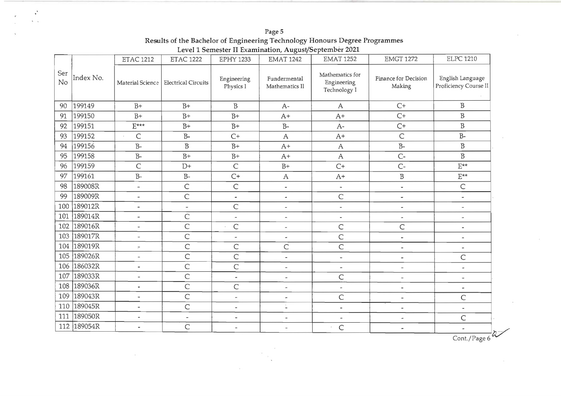| Page 5                                                                      |
|-----------------------------------------------------------------------------|
| Results of the Bachelor of Engineering Technology Honours Degree Programmes |
| Level 1 Semester II Examination, August/September 2021                      |

 $\ddot{\phantom{a}}$  $\sqrt{2}$ 

|           |           | <b>ETAC 1212</b>         | <b>ETAC 1222</b>                       | <b>EPHY 1233</b>         | <b>EMAT 1242</b>                      | <b>EMAT 1252</b>                               | <b>EMGT 1272</b>               | <b>ELPC 1210</b>                          |
|-----------|-----------|--------------------------|----------------------------------------|--------------------------|---------------------------------------|------------------------------------------------|--------------------------------|-------------------------------------------|
| Ser<br>No | Index No. |                          | Material Science   Electrical Circuits | Engineering<br>Physics 1 | Fundermental<br>Mathematics Il        | Mathematics for<br>Engineering<br>Technology I | Finance for Decision<br>Making | English Language<br>Proficiency Course II |
| 90        | 199149    | $B+$                     | $B+$                                   | B                        | $A-$                                  | A                                              | $C+$                           | B                                         |
| 91        | 199150    | $B+$                     | $B+$                                   | $B+$                     | $A+$                                  | $A+$                                           | $C+$                           | $\, {\bf B}$                              |
| 92        | 199151    | $E^{***}$                | $B+$                                   | $B+$                     | $B-$                                  | $A-$                                           | $C+$                           | $\, {\bf B}$                              |
| 93        | 199152    | C                        | $B-$                                   | $C+$                     | $\mathsf{A}$                          | $A+$                                           | $\overline{C}$                 | $B-$                                      |
| 94        | 199156    | $B-$                     | $\, {\bf B}$                           | $B+$                     | $A+$                                  | $\mathsf{A}$                                   | $B-$                           | $\mathbf B$                               |
| 95        | 199158    | $B-$                     | $B+$                                   | $B+$                     | $A+$                                  | $\mathsf{A}$                                   | $C -$                          | $\, {\bf B}$                              |
| 96        | 199159    | C                        | $D+$                                   | $\mathsf{C}$             | $B+$                                  | $C+$                                           | $C -$                          | $E^{\star\star}$                          |
| 97        | 199161    | $B -$                    | $B -$                                  | $C+$                     | $\mathsf{A}$                          | $A+$                                           | $\, {\bf B}$                   | $E^{**}$                                  |
| 98        | 189008R   | $\overline{\phantom{a}}$ | $\mathsf C$                            | $\mathsf{C}$             | $\overline{\phantom{a}}$              | $\tilde{\phantom{a}}$                          | ٠                              | $\mathsf{C}$                              |
| 99        | 189009R   | $\overline{\phantom{a}}$ | C                                      | ÷                        | $\blacksquare$                        | $\mathsf C$                                    | ۰                              | $\sim$                                    |
| 100       | 189012R   | $\tilde{\phantom{a}}$    | $\overline{\phantom{a}}$               | C                        | L.                                    | $\tilde{\phantom{a}}$                          | $\tilde{\phantom{a}}$          | $\overline{a}$                            |
| 101       | 189014R   | $\blacksquare$           | C                                      | Ξ.                       | $\overline{\phantom{a}}$              | $\overline{\phantom{a}}$                       | $\tilde{\phantom{a}}$          | $\overline{\phantom{a}}$                  |
| 102       | 189016R   | Ĩ,                       | $\mathsf C$                            | $\mathsf C$              | L,                                    | $\mathsf C$                                    | C                              | $\overline{\phantom{a}}$                  |
| 103       | 189017R   | $\blacksquare$           | C                                      | $\overline{\phantom{a}}$ | $\overline{\phantom{a}}$              | $\mathsf C$                                    | $\overline{\phantom{a}}$       | $\sim$                                    |
| 104       | 189019R   | ÷,                       | $\mathsf C$                            | C                        | C                                     | $\mathsf{C}$                                   | $\omega$                       | ÷                                         |
| 105       | 189026R   | $\overline{\phantom{a}}$ | $\mathsf{C}$                           | C                        | $\sim$                                | i.                                             | $\overline{\phantom{a}}$       | C                                         |
| 106       | 186032R   | $\overline{\phantom{a}}$ | $\mathsf C$                            | C                        | $\overline{\phantom{a}}$              | $\overline{\phantom{a}}$                       | $\equiv$                       | $\bar{\phantom{a}}$                       |
| 107       | 189033R   | $\overline{\phantom{a}}$ | C                                      | ÷.                       | $\overline{\phantom{a}}$              | $\mathsf C$                                    | $\sim$                         | $\ddot{}$                                 |
| 108       | 189036R   | $\tilde{\phantom{a}}$    | $\mathsf C$                            | C                        | $\overline{\phantom{a}}$              | $\overline{\phantom{a}}$                       | $\tilde{\phantom{a}}$          | $\blacksquare$                            |
| 109       | 189043R   | $\sim$                   | C                                      | -                        | -                                     | $\mathsf C$                                    | $\overline{\phantom{a}}$       | $\mathsf C$                               |
| 110       | 189045R   | $\sim$                   | $\mathsf C$                            | z.                       | $\lambda$<br>$\overline{\phantom{a}}$ | $\blacksquare$                                 | $\overline{\phantom{a}}$       | $\ddot{\phantom{0}}$                      |
| 111       | 189050R   | $\overline{\phantom{a}}$ | $\sim$                                 | i.                       | $\overline{\phantom{a}}$              | $\blacksquare$                                 | ٠                              | C                                         |
| 112       | 189054R   | $\overline{\phantom{a}}$ | C                                      | $\overline{\phantom{a}}$ | $\sim$                                | $\mathsf C$                                    |                                | $\overline{\phantom{a}}$                  |

 $\begin{array}{c} \begin{array}{c} \begin{array}{c} \begin{array}{c} \begin{array}{c} \end{array}\\ \begin{array}{c} \end{array}\\ \begin{array}{c} \end{array}\\ \begin{array}{c} \end{array}\\ \begin{array}{c} \end{array}\\ \begin{array}{c} \end{array}\\ \begin{array}{c} \end{array}\\ \begin{array}{c} \end{array}\\ \begin{array}{c} \end{array}\\ \begin{array}{c} \end{array}\\ \begin{array}{c} \end{array}\\ \begin{array}{c} \end{array}\\ \begin{array}{c} \end{array}\\ \begin{array}{c} \end{array}\\ \begin{array}{c} \end{array}\\ \begin{array}{c} \end{array}\\$ 

 $\sim$   $\alpha$ 

 $\sim 10^{-1}$ 

 $\frac{1}{\text{Cont.}/\text{Page }6}$ 

 $\omega$ 

 $\alpha$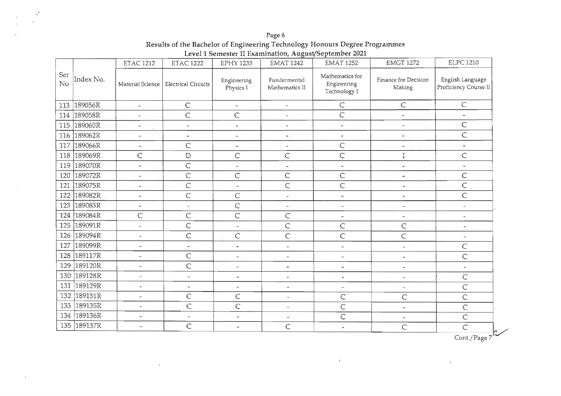Page 6 Results of the Bachelor of Engineering Technology Honours Degree Programmes<br>Level 1 Semester II Examination, August/September 2021

|             |           | <b>ETAC 1212</b>         | <b>ETAC 1222</b>                       | <b>EPHY 1233</b>         | $\sim$ $\sim$<br><b>EMAT 1242</b> | <b>EMAT 1252</b>                               | <b>EMGT 1272</b>                      | <b>ELPC 1210</b>                          |
|-------------|-----------|--------------------------|----------------------------------------|--------------------------|-----------------------------------|------------------------------------------------|---------------------------------------|-------------------------------------------|
| Ser<br>No   | Index No. |                          | Material Science   Electrical Circuits | Engineering<br>Physics I | Fundermental<br>Mathematics II    | Mathematics for<br>Engineering<br>Technology I | <b>Finance for Decision</b><br>Making | English Language<br>Proficiency Course II |
| 113         | 189056R   | $\omega$                 | $\mathsf C$                            | $\bar{\phantom{a}}$      | $\tilde{\phantom{a}}$             | $\subset$                                      | $\mathsf C$                           | $\mathsf C$                               |
| 114 189058R |           | $\omega$                 | $\mathsf C$                            | C                        | $\tilde{\phantom{a}}$             | C                                              | $\tilde{\phantom{a}}$                 | $\tilde{\phantom{a}}$                     |
| 115         | 189060R   | $\tilde{}$               | $\tilde{\phantom{a}}$                  | $\tilde{\phantom{a}}$    | $\tilde{\phantom{a}}$             | $\ddot{\phantom{a}}$                           | $\overline{a}$                        | C                                         |
| 116         | 189062R   | $\tilde{\phantom{a}}$    | $\overline{\phantom{a}}$               | $\overline{\phantom{a}}$ | $\overline{\phantom{a}}$          | $\overline{\phantom{a}}$                       |                                       | $\overline{C}$                            |
| 117         | 189066R   | $\tilde{\phantom{a}}$    | $\mathsf C$                            | $\tilde{\phantom{a}}$    | $\tilde{\phantom{a}}$             | $\mathsf{C}$                                   | $\overline{\phantom{a}}$              | $\tilde{\phantom{a}}$                     |
| 118         | 189069R   | $\mathsf C$              | $\mathbb D$                            | C                        | $\mathsf C$                       | $\mathsf C$                                    | I                                     | Ċ                                         |
| 119         | 189070R   | $\mathbb{Z}^2$           | $\mathsf{C}$                           | $\bar{\phantom{a}}$      | $\bar{a}$                         | $\overline{\phantom{a}}$                       | $\tilde{\phantom{a}}$                 | $\tilde{\phantom{a}}$                     |
| 120         | 189072R   | $\overline{\phantom{a}}$ | $\overline{C}$                         | Ċ                        | $\overline{C}$                    | $\overline{C}$                                 | $\ddot{\phantom{1}}$                  | Ċ                                         |
| 121         | 189075R   | $\tilde{\phantom{a}}$    | $\mathsf C$                            | $\overline{\phantom{a}}$ | $\mathsf{C}$                      | $\mathsf{C}$                                   | $\overline{\phantom{a}}$              | C                                         |
| 122         | 189082R   | $\overline{\phantom{a}}$ | $\mathsf{C}$                           | C                        | $\overline{\phantom{a}}$          | $\overline{\phantom{a}}$                       | $\tilde{\phantom{a}}$                 | $\overline{C}$                            |
| 123         | 189083R   | $\overline{\phantom{a}}$ | $\omega$                               | $\mathsf C$              | $\tilde{\phantom{a}}$             | $\overline{\phantom{a}}$                       | $\ddot{ }$                            | $\overline{a}$                            |
| 124         | 189084R   | $\mathsf{C}$             | $\mathsf{C}$                           | $\overline{C}$           | $\overline{C}$                    | $\tilde{\phantom{a}}$                          | $\overline{\phantom{a}}$              | $\ddot{\phantom{1}}$                      |
| 125         | 189091R   | ÷.                       | $\mathsf C$                            | $\tilde{}$               | $\overline{C}$                    | $\mathsf C$                                    | $\overline{C}$                        | ÷,                                        |
| 126         | 189094R   | $\overline{\phantom{a}}$ | $\mathsf{C}$                           | Ċ                        | $\overline{C}$                    | $\overline{C}$                                 | Ċ                                     | $\overline{\phantom{a}}$                  |
| 127         | 189099R   | $\overline{\phantom{a}}$ | $\overline{\phantom{a}}$               | $\tilde{\phantom{a}}$    | $\tilde{\phantom{a}}$             | $\tilde{\phantom{a}}$                          | $\tilde{\phantom{a}}$                 | $\mathsf C$                               |
| 128         | 189117R   | $\ddot{\phantom{a}}$     | $\mathsf C$                            | $\overline{\phantom{a}}$ | $\blacksquare$                    | $\tilde{\phantom{a}}$                          | $\overline{\phantom{a}}$              | $\mathsf C$                               |
| 129         | 189120R   | $\tilde{\phantom{a}}$    | $\mathsf{C}$                           | $\overline{\phantom{a}}$ | $\blacksquare$                    | $\tilde{\phantom{a}}$                          | $\overline{\phantom{a}}$              | $\tilde{\phantom{a}}$                     |
| 130 189128R |           | $\overline{\phantom{a}}$ | $\tilde{\phantom{a}}$                  | $\frac{1}{2}$            | $\overline{\phantom{a}}$          | $\tilde{\phantom{a}}$                          | $\overline{\phantom{a}}$              | $\mathsf C$                               |
| 131         | 189129R   | $\tilde{\phantom{a}}$    | $\tilde{\phantom{a}}$                  | w.                       | $\sim$                            | i.                                             | $\tilde{\phantom{a}}$                 | $\mathsf C$                               |
| 132         | 189131R   | $\tilde{}$               | $\mathsf{C}$                           | $\mathsf C$              | $\tilde{\phantom{a}}$             | C                                              | C                                     | $\mathsf C$                               |
| 133 189135R |           | $\overline{\phantom{a}}$ | $\mathsf{C}$                           | $\overline{C}$           | $\tilde{\phantom{a}}$             | $\overline{C}$                                 | $\tilde{\phantom{a}}$                 | $\mathsf{C}$                              |
| 134 189136R |           | $\tilde{\phantom{a}}$    | $\overline{\phantom{a}}$               | $\ddot{}$                | $\tilde{\phantom{a}}$             | $\mathsf C$                                    | $\tilde{\phantom{a}}$                 | $\mathsf C$                               |
| 135         | 189137R   | $\overline{\phantom{a}}$ | $\mathsf{C}$                           | $\overline{\phantom{a}}$ | $\mathsf C$                       | $\tilde{\phantom{a}}$                          | $\mathsf C$                           | $\overline{C}$<br>Cont./Page $7^2$        |

 $\sim 100$  km s  $^{-1}$ 

 $\bar{\lambda}$ 

 $\sim$   $\sim$ 

 $\mathcal{L}^{\pm}$ 

 $\mathcal{A}$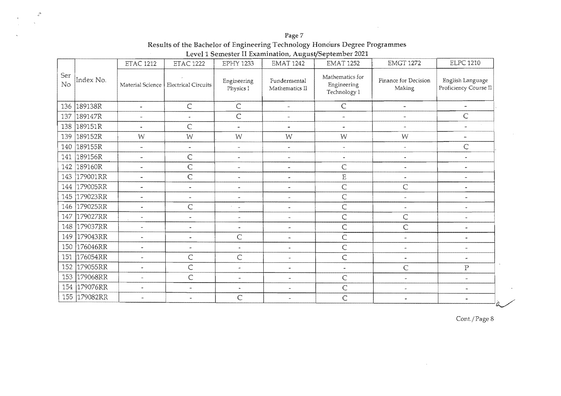Page 7 Results of the Bachelor of Engineering Technology Honours Degree Programmes<br>Level 1 Semester II Examination, August/September 2021

 $\frac{\Delta}{\sigma}$ 

|           |           | <b>ETAC 1212</b>         | <b>ETAC 1222</b>                       | <b>EPHY 1233</b>         | <b>EMAT 1242</b>               | <b>EMAT 1252</b>                               | <b>EMGT 1272</b>               | <b>ELPC 1210</b>                          |
|-----------|-----------|--------------------------|----------------------------------------|--------------------------|--------------------------------|------------------------------------------------|--------------------------------|-------------------------------------------|
| Ser<br>No | Index No. |                          | Material Science   Electrical Circuits | Engineering<br>Physics I | Fundermental<br>Mathematics II | Mathematics for<br>Engineering<br>Technology 1 | Finance for Decision<br>Making | English Language<br>Proficiency Course Il |
| 136       | 189138R   | $\tilde{\phantom{a}}$    | $\mathsf C$                            | $\mathsf C$              | ÷.                             | $\subset$                                      | $\overline{\phantom{a}}$       | $\tilde{\phantom{a}}$                     |
| 137       | 189147R   | $\overline{\phantom{a}}$ | $\tilde{\phantom{a}}$                  | C                        | $\overline{\phantom{a}}$       | $\overline{a}$                                 | $\tilde{\phantom{a}}$          | $\mathsf C$                               |
| 138       | 189151R   | $\tilde{\phantom{a}}$    | $\mathsf{C}$                           | $\mathbf{a}$             | $\tilde{\phantom{a}}$          | $\overline{a}$                                 | $\overline{\phantom{a}}$       | $\overline{a}$                            |
| 139       | 189152R   | W                        | W                                      | W                        | W                              | W                                              | W                              | $\overline{\phantom{a}}$                  |
| 140       | 189155R   | $\overline{\phantom{a}}$ | $\blacksquare$                         | $\overline{\phantom{a}}$ | $\tilde{\phantom{a}}$          | $\ddot{\phantom{0}}$                           | $\overline{\phantom{a}}$       | $\mathsf{C}$                              |
| 141       | 189156R   | $\tilde{\phantom{a}}$    | $\mathsf C$                            | $\tilde{\phantom{a}}$    | $\tilde{\phantom{a}}$          | $\tilde{}$                                     | $\ddot{\phantom{a}}$           | $\tilde{\phantom{a}}$                     |
| 142       | 189160R   | $\mathbf{r}$             | $\mathsf{C}$                           | $\overline{\phantom{a}}$ | $\tilde{\phantom{a}}$          | $\mathsf{C}$                                   | ٠                              | ä,                                        |
| 143       | 179001RR  | $\overline{\phantom{a}}$ | $\mathsf C$                            | $\tilde{\phantom{a}}$    | $\tilde{\phantom{a}}$          | $\mathbf E$                                    | $\blacksquare$                 |                                           |
| 144       | 179005RR  | ×.                       | $\blacksquare$                         | $\tilde{}$               | $\overline{\phantom{a}}$       | $\mathsf{C}$                                   | $\mathsf C$                    |                                           |
| 145       | 179023RR  | $\overline{a}$           | $\frac{1}{2}$                          | $\overline{a}$           | $\overline{a}$                 | $\mathsf{C}$                                   |                                |                                           |
| 146       | 179025RR  | $\tilde{\phantom{a}}$    | $\mathsf C$                            | $\tilde{\phantom{a}}$    | $\tilde{\phantom{a}}$          | C                                              | $\mathbf{r}$                   | ٠                                         |
| 147       | 179027RR  | $\overline{\phantom{a}}$ | $\tilde{ }$                            | $\tilde{\phantom{a}}$    | $\tilde{\phantom{a}}$          | C                                              | $\overline{C}$                 | ÷                                         |
| 148       | 179037RR  | u.                       | $\tilde{\phantom{a}}$                  | $\bullet$                | $\ddot{\phantom{1}}$           | C                                              | $\mathsf{C}$                   | i.                                        |
| 149       | 179043RR  | ц.                       | $\blacksquare$                         | $\mathsf C$              | $\tilde{\phantom{a}}$          | C                                              | $\overline{\phantom{a}}$       | $\blacksquare$                            |
| 150       | 176046RR  | $\overline{a}$           | $\blacksquare$                         | $\overline{a}$           | $\overline{\phantom{0}}$       | C                                              | $\overline{\phantom{a}}$       | $\overline{\phantom{a}}$                  |
| 151       | 176054RR  | ä.                       | $\mathsf C$                            | $\mathsf C$              | $\overline{\phantom{a}}$       | $\overline{C}$                                 | $\blacksquare$                 | $\bullet$                                 |
| 152       | 179055RR  | $\bullet$                | $\overline{C}$                         | $\overline{\phantom{a}}$ | a.                             | $\overline{\phantom{a}}$                       | $\mathsf{C}$                   | ${\bf P}$                                 |
| 153       | 179068RR  | ÷.                       | $\mathsf{C}$                           | $\overline{\phantom{a}}$ | $\overline{a}$                 | $\mathsf{C}$                                   | $\tilde{\phantom{a}}$          | $\tilde{\phantom{a}}$                     |
| 154       | 179076RR  | $\bar{a}$                | $\tilde{\phantom{a}}$                  | $\blacksquare$           | $\tilde{\phantom{a}}$          | C                                              | $\overline{\phantom{a}}$       | $\tilde{\phantom{a}}$                     |
| 155       | 179082RR  | $\overline{\phantom{a}}$ | $\tilde{\phantom{a}}$                  | $\mathsf{C}$             | $\sim$                         | $\mathsf{C}$                                   | $\blacksquare$                 | ÷<br>么                                    |

Cont./Page 8

 $\sim$   $\sim$ 

 $\sim$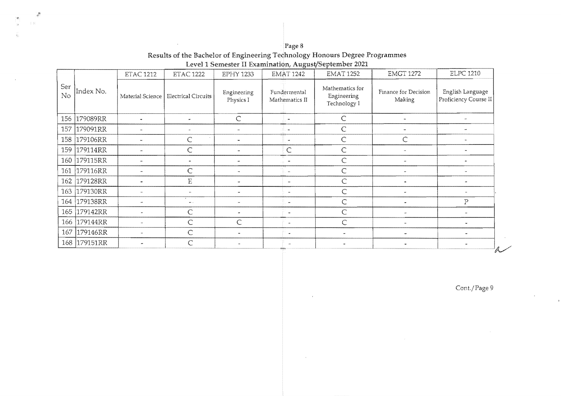| Page 8                                                                      |
|-----------------------------------------------------------------------------|
| Results of the Bachelor of Engineering Technology Honours Degree Programmes |
| Level 1 Semester II Examination, August/September 2021                      |

 $\mathbb{R}^d$ 

|           |           | <b>ETAC 1212</b>         | <b>ETAC 1222</b>           | <b>EPHY 1233</b>         | <b>EMAT 1242</b>               | <b>EMAT 1252</b>                               | <b>EMGT 1272</b>               | <b>ELPC 1210</b>                          |
|-----------|-----------|--------------------------|----------------------------|--------------------------|--------------------------------|------------------------------------------------|--------------------------------|-------------------------------------------|
| Ser<br>No | Index No. | Material Science         | <b>Electrical Circuits</b> | Engineering<br>Physics I | Fundermental<br>Mathematics II | Mathematics for<br>Engineering<br>Technology I | Finance for Decision<br>Making | English Language<br>Proficiency Course II |
| 156       | 179089RR  | $\tilde{\phantom{a}}$    | $\ddot{}$                  | $\mathsf{C}$             | $\tilde{\phantom{a}}$          | $\mathsf{C}$                                   | ٠                              |                                           |
| 157       | 179091RR  |                          |                            | $\overline{\phantom{a}}$ | $\overline{\phantom{a}}$       | $\mathsf{C}$                                   | $\overline{\phantom{a}}$       |                                           |
| 158       | 179106RR  |                          | Ċ                          | m.                       | $\mathbf{u}$                   | $\mathsf{C}$                                   | Ċ                              |                                           |
| 159       | 179114RR  |                          | C                          |                          | $\subset$                      | $\subset$                                      |                                |                                           |
| 160       | 179115RR  | ÷,                       | $\blacksquare$             | $\overline{\phantom{a}}$ | $\overline{\phantom{a}}$       | Ċ                                              | $\overline{\phantom{a}}$       |                                           |
| 161       | 179116RR  | $\tilde{\phantom{a}}$    | C                          | $\rightarrow$            | $\overline{\phantom{a}}$       | Ċ                                              |                                |                                           |
| 162       | 179128RR  |                          | $\overline{\mathrm{E}}$    | $\tilde{}$               | $\sim$                         | $\mathsf{C}$                                   | $\tilde{\phantom{a}}$          |                                           |
| 163       | 179130RR  | $\sim$                   | Ξ.                         | $\tilde{\phantom{a}}$    | $\tilde{\phantom{a}}$          | C                                              | $\overline{a}$                 |                                           |
| 164       | 179138RR  | $\overline{\phantom{a}}$ | $\bullet\bullet\to$        | $\tilde{\phantom{a}}$    | $\tilde{\phantom{a}}$          | $\mathsf{C}$                                   |                                | $\mathbf P$                               |
| 165       | 179142RR  | ÷                        | C                          | $\tilde{\phantom{a}}$    | 4444<br>$\sim$                 | $\mathsf{C}$                                   |                                |                                           |
| 166       | 179144RR  | $\sim$                   | C                          | Ċ                        | $\sim$                         | Ċ                                              |                                |                                           |
| 167       | 179146RR  | $\overline{\phantom{a}}$ | C                          | $\sim$                   | $\sim$                         |                                                | $\sim$                         |                                           |
| 168       | 179151RR  |                          | $\subset$                  | $\tilde{\phantom{a}}$    |                                |                                                |                                | ヘー                                        |

Cont./Page 9

 $\Delta$ 

 $\frac{1}{2}$